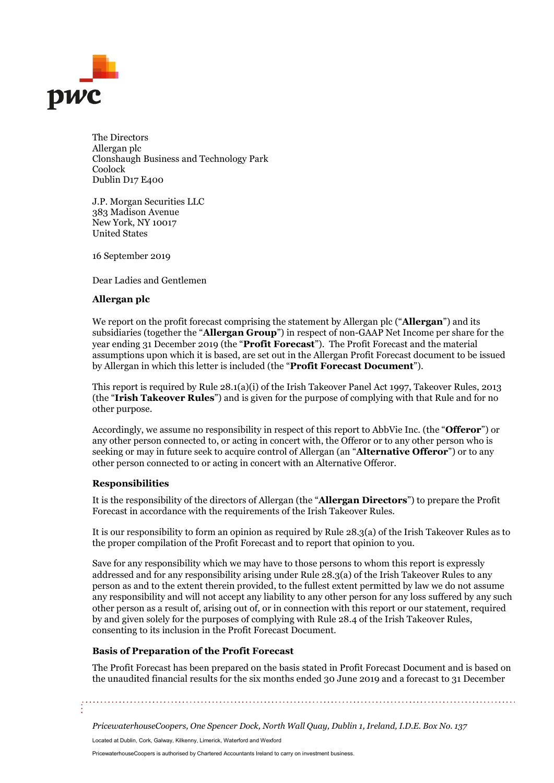

The Directors Allergan plc Clonshaugh Business and Technology Park Coolock Dublin D17 E400

J.P. Morgan Securities LLC 383 Madison Avenue New York, NY 10017 United States

16 September 2019

Dear Ladies and Gentlemen

### Allergan plc

We report on the profit forecast comprising the statement by Allergan plc ("**Allergan**") and its subsidiaries (together the "Allergan Group") in respect of non-GAAP Net Income per share for the year ending 31 December 2019 (the "Profit Forecast"). The Profit Forecast and the material assumptions upon which it is based, are set out in the Allergan Profit Forecast document to be issued by Allergan in which this letter is included (the "Profit Forecast Document").

This report is required by Rule 28.1(a)(i) of the Irish Takeover Panel Act 1997, Takeover Rules, 2013 (the "Irish Takeover Rules") and is given for the purpose of complying with that Rule and for no other purpose.

Accordingly, we assume no responsibility in respect of this report to AbbVie Inc. (the "**Offeror**") or any other person connected to, or acting in concert with, the Offeror or to any other person who is seeking or may in future seek to acquire control of Allergan (an "Alternative Offeror") or to any other person connected to or acting in concert with an Alternative Offeror.

### Responsibilities

It is the responsibility of the directors of Allergan (the "Allergan Directors") to prepare the Profit Forecast in accordance with the requirements of the Irish Takeover Rules.

It is our responsibility to form an opinion as required by Rule 28.3(a) of the Irish Takeover Rules as to the proper compilation of the Profit Forecast and to report that opinion to you.

Save for any responsibility which we may have to those persons to whom this report is expressly addressed and for any responsibility arising under Rule 28.3(a) of the Irish Takeover Rules to any person as and to the extent therein provided, to the fullest extent permitted by law we do not assume any responsibility and will not accept any liability to any other person for any loss suffered by any such other person as a result of, arising out of, or in connection with this report or our statement, required by and given solely for the purposes of complying with Rule 28.4 of the Irish Takeover Rules, consenting to its inclusion in the Profit Forecast Document.

# Basis of Preparation of the Profit Forecast

The Profit Forecast has been prepared on the basis stated in Profit Forecast Document and is based on the unaudited financial results for the six months ended 30 June 2019 and a forecast to 31 December

PricewaterhouseCoopers, One Spencer Dock, North Wall Quay, Dublin 1, Ireland, I.D.E. Box No. 137

Located at Dublin, Cork, Galway, Kilkenny, Limerick, Waterford and Wexford

PricewaterhouseCoopers is authorised by Chartered Accountants Ireland to carry on investment business.